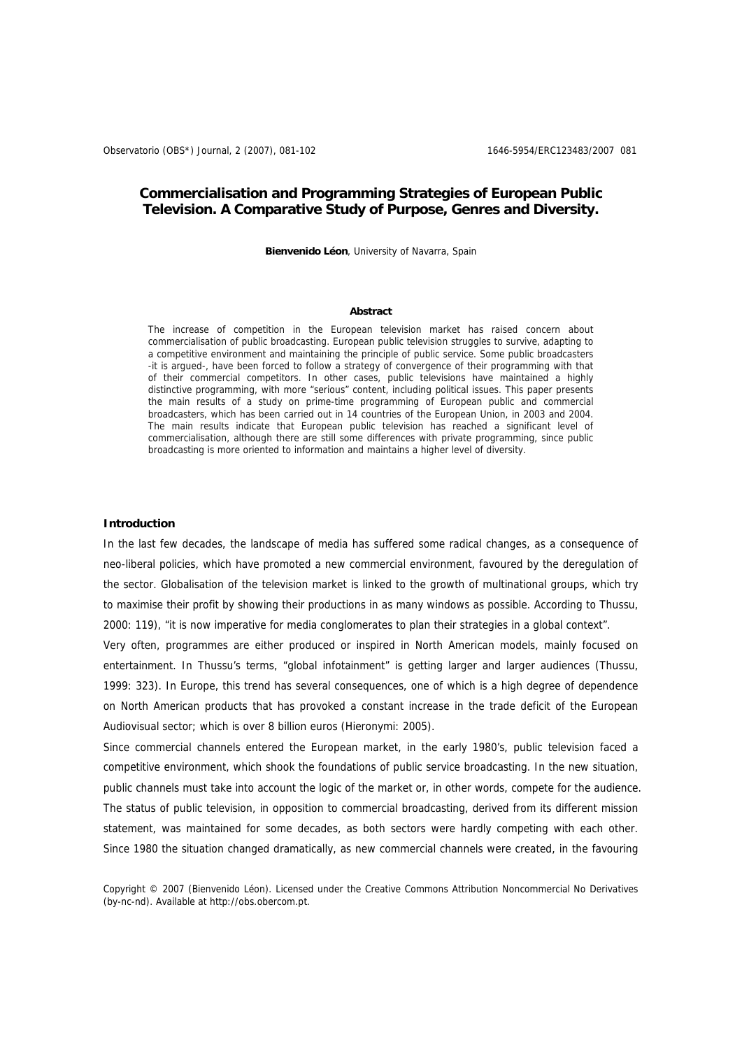# **Commercialisation and Programming Strategies of European Public Television. A Comparative Study of Purpose, Genres and Diversity.**

**Bienvenido Léon**, University of Navarra, Spain

#### **Abstract**

The increase of competition in the European television market has raised concern about commercialisation of public broadcasting. European public television struggles to survive, adapting to a competitive environment and maintaining the principle of public service. Some public broadcasters -it is argued-, have been forced to follow a strategy of convergence of their programming with that of their commercial competitors. In other cases, public televisions have maintained a highly distinctive programming, with more "serious" content, including political issues. This paper presents the main results of a study on prime-time programming of European public and commercial broadcasters, which has been carried out in 14 countries of the European Union, in 2003 and 2004. The main results indicate that European public television has reached a significant level of commercialisation, although there are still some differences with private programming, since public broadcasting is more oriented to information and maintains a higher level of diversity.

### **Introduction**

In the last few decades, the landscape of media has suffered some radical changes, as a consequence of neo-liberal policies, which have promoted a new commercial environment, favoured by the deregulation of the sector. Globalisation of the television market is linked to the growth of multinational groups, which try to maximise their profit by showing their productions in as many windows as possible. According to Thussu, 2000: 119), "it is now imperative for media conglomerates to plan their strategies in a global context".

Very often, programmes are either produced or inspired in North American models, mainly focused on entertainment. In Thussu's terms, "global infotainment" is getting larger and larger audiences (Thussu, 1999: 323). In Europe, this trend has several consequences, one of which is a high degree of dependence on North American products that has provoked a constant increase in the trade deficit of the European Audiovisual sector; which is over 8 billion euros (Hieronymi: 2005).

Since commercial channels entered the European market, in the early 1980's, public television faced a competitive environment, which shook the foundations of public service broadcasting. In the new situation, public channels must take into account the logic of the market or, in other words, compete for the audience. The status of public television, in opposition to commercial broadcasting, derived from its different mission statement, was maintained for some decades, as both sectors were hardly competing with each other. Since 1980 the situation changed dramatically, as new commercial channels were created, in the favouring

Copyright © 2007 (Bienvenido Léon). Licensed under the Creative Commons Attribution Noncommercial No Derivatives (by-nc-nd). Available at http://obs.obercom.pt.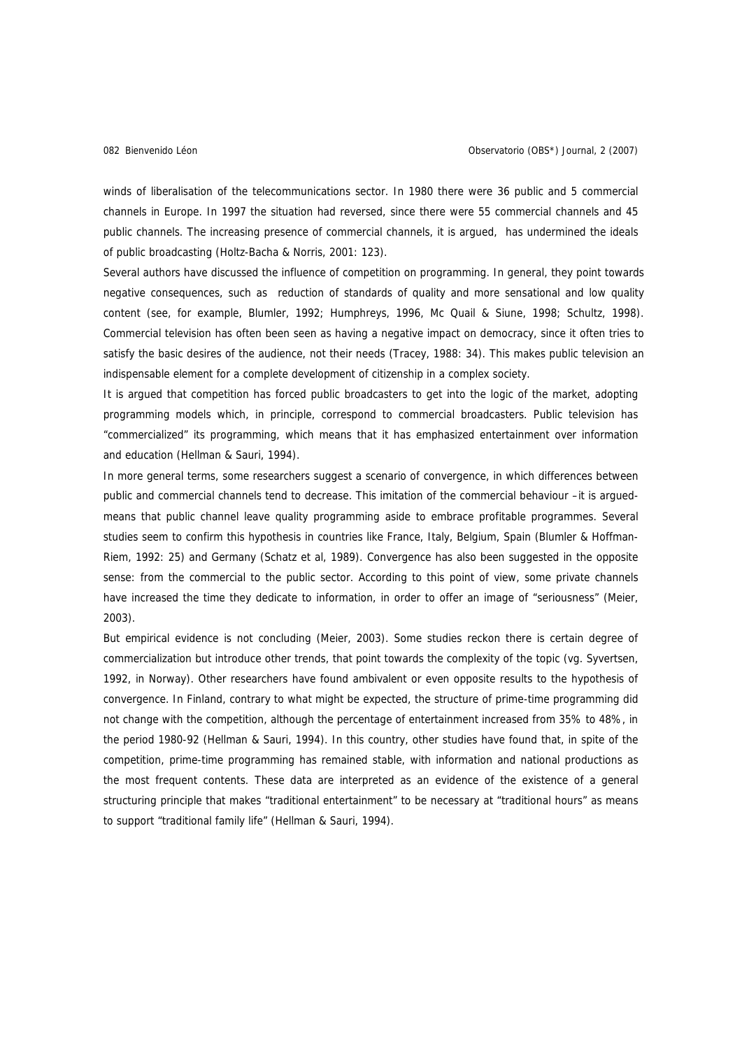winds of liberalisation of the telecommunications sector. In 1980 there were 36 public and 5 commercial channels in Europe. In 1997 the situation had reversed, since there were 55 commercial channels and 45 public channels. The increasing presence of commercial channels, it is argued, has undermined the ideals of public broadcasting (Holtz-Bacha & Norris, 2001: 123).

Several authors have discussed the influence of competition on programming. In general, they point towards negative consequences, such as reduction of standards of quality and more sensational and low quality content (see, for example, Blumler, 1992; Humphreys, 1996, Mc Quail & Siune, 1998; Schultz, 1998). Commercial television has often been seen as having a negative impact on democracy, since it often tries to satisfy the basic desires of the audience, not their needs (Tracey, 1988: 34). This makes public television an indispensable element for a complete development of citizenship in a complex society.

It is argued that competition has forced public broadcasters to get into the logic of the market, adopting programming models which, in principle, correspond to commercial broadcasters. Public television has "commercialized" its programming, which means that it has emphasized entertainment over information and education (Hellman & Sauri, 1994).

In more general terms, some researchers suggest a scenario of convergence, in which differences between public and commercial channels tend to decrease. This imitation of the commercial behaviour –it is arguedmeans that public channel leave quality programming aside to embrace profitable programmes. Several studies seem to confirm this hypothesis in countries like France, Italy, Belgium, Spain (Blumler & Hoffman-Riem, 1992: 25) and Germany (Schatz et al, 1989). Convergence has also been suggested in the opposite sense: from the commercial to the public sector. According to this point of view, some private channels have increased the time they dedicate to information, in order to offer an image of "seriousness" (Meier, 2003).

But empirical evidence is not concluding (Meier, 2003). Some studies reckon there is certain degree of commercialization but introduce other trends, that point towards the complexity of the topic (vg. Syvertsen, 1992, in Norway). Other researchers have found ambivalent or even opposite results to the hypothesis of convergence. In Finland, contrary to what might be expected, the structure of prime-time programming did not change with the competition, although the percentage of entertainment increased from 35% to 48%, in the period 1980-92 (Hellman & Sauri, 1994). In this country, other studies have found that, in spite of the competition, prime-time programming has remained stable, with information and national productions as the most frequent contents. These data are interpreted as an evidence of the existence of a general structuring principle that makes "traditional entertainment" to be necessary at "traditional hours" as means to support "traditional family life" (Hellman & Sauri, 1994).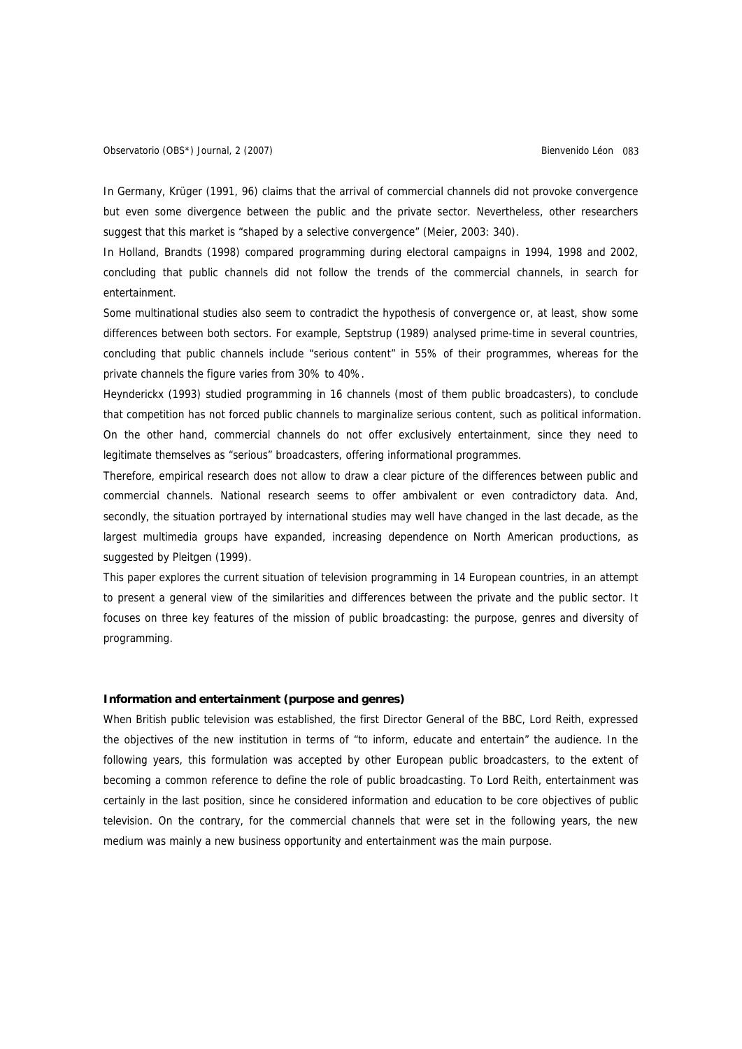In Germany, Krüger (1991, 96) claims that the arrival of commercial channels did not provoke convergence but even some divergence between the public and the private sector. Nevertheless, other researchers suggest that this market is "shaped by a selective convergence" (Meier, 2003: 340).

In Holland, Brandts (1998) compared programming during electoral campaigns in 1994, 1998 and 2002, concluding that public channels did not follow the trends of the commercial channels, in search for entertainment.

Some multinational studies also seem to contradict the hypothesis of convergence or, at least, show some differences between both sectors. For example, Septstrup (1989) analysed prime-time in several countries, concluding that public channels include "serious content" in 55% of their programmes, whereas for the private channels the figure varies from 30% to 40%.

Heynderickx (1993) studied programming in 16 channels (most of them public broadcasters), to conclude that competition has not forced public channels to marginalize serious content, such as political information. On the other hand, commercial channels do not offer exclusively entertainment, since they need to legitimate themselves as "serious" broadcasters, offering informational programmes.

Therefore, empirical research does not allow to draw a clear picture of the differences between public and commercial channels. National research seems to offer ambivalent or even contradictory data. And, secondly, the situation portrayed by international studies may well have changed in the last decade, as the largest multimedia groups have expanded, increasing dependence on North American productions, as suggested by Pleitgen (1999).

This paper explores the current situation of television programming in 14 European countries, in an attempt to present a general view of the similarities and differences between the private and the public sector. It focuses on three key features of the mission of public broadcasting: the purpose, genres and diversity of programming.

## **Information and entertainment (purpose and genres)**

When British public television was established, the first Director General of the BBC, Lord Reith, expressed the objectives of the new institution in terms of "to inform, educate and entertain" the audience. In the following years, this formulation was accepted by other European public broadcasters, to the extent of becoming a common reference to define the role of public broadcasting. To Lord Reith, entertainment was certainly in the last position, since he considered information and education to be core objectives of public television. On the contrary, for the commercial channels that were set in the following years, the new medium was mainly a new business opportunity and entertainment was the main purpose.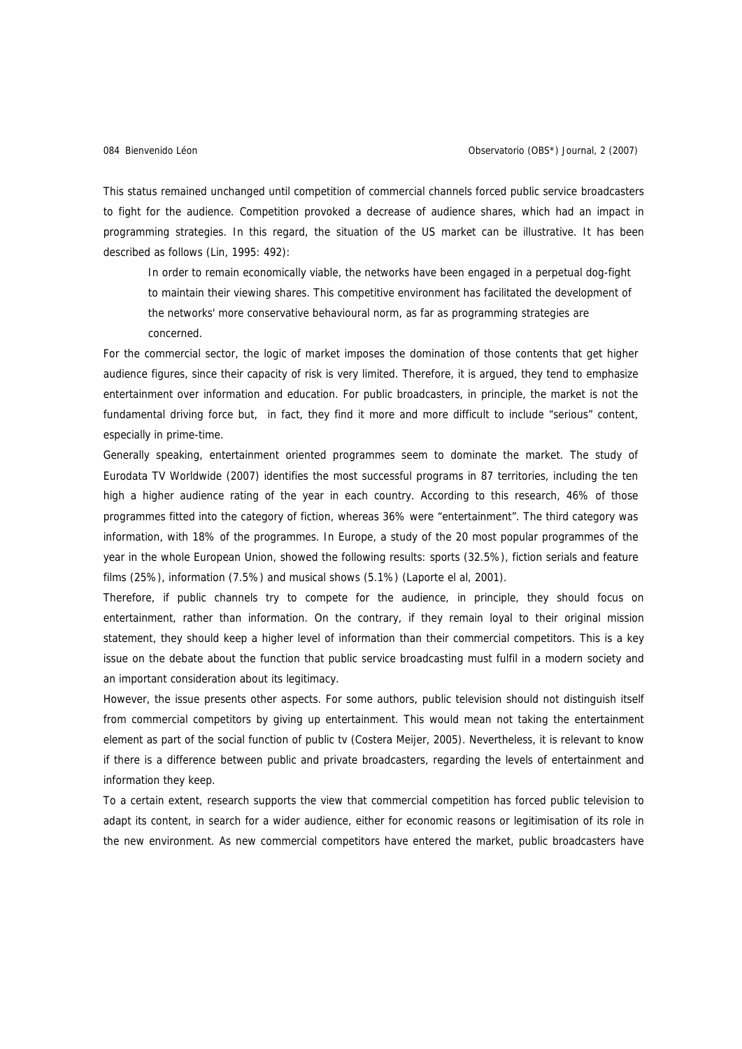This status remained unchanged until competition of commercial channels forced public service broadcasters to fight for the audience. Competition provoked a decrease of audience shares, which had an impact in programming strategies. In this regard, the situation of the US market can be illustrative. It has been described as follows (Lin, 1995: 492):

In order to remain economically viable, the networks have been engaged in a perpetual dog-fight to maintain their viewing shares. This competitive environment has facilitated the development of the networks' more conservative behavioural norm, as far as programming strategies are concerned.

For the commercial sector, the logic of market imposes the domination of those contents that get higher audience figures, since their capacity of risk is very limited. Therefore, it is argued, they tend to emphasize entertainment over information and education. For public broadcasters, in principle, the market is not the fundamental driving force but, in fact, they find it more and more difficult to include "serious" content, especially in prime-time.

Generally speaking, entertainment oriented programmes seem to dominate the market. The study of Eurodata TV Worldwide (2007) identifies the most successful programs in 87 territories, including the ten high a higher audience rating of the year in each country. According to this research, 46% of those programmes fitted into the category of fiction, whereas 36% were "entertainment". The third category was information, with 18% of the programmes. In Europe, a study of the 20 most popular programmes of the year in the whole European Union, showed the following results: sports (32.5%), fiction serials and feature films (25%), information (7.5%) and musical shows (5.1%) (Laporte el al, 2001).

Therefore, if public channels try to compete for the audience, in principle, they should focus on entertainment, rather than information. On the contrary, if they remain loyal to their original mission statement, they should keep a higher level of information than their commercial competitors. This is a key issue on the debate about the function that public service broadcasting must fulfil in a modern society and an important consideration about its legitimacy.

However, the issue presents other aspects. For some authors, public television should not distinguish itself from commercial competitors by giving up entertainment. This would mean not taking the entertainment element as part of the social function of public tv (Costera Meijer, 2005). Nevertheless, it is relevant to know if there is a difference between public and private broadcasters, regarding the levels of entertainment and information they keep.

To a certain extent, research supports the view that commercial competition has forced public television to adapt its content, in search for a wider audience, either for economic reasons or legitimisation of its role in the new environment. As new commercial competitors have entered the market, public broadcasters have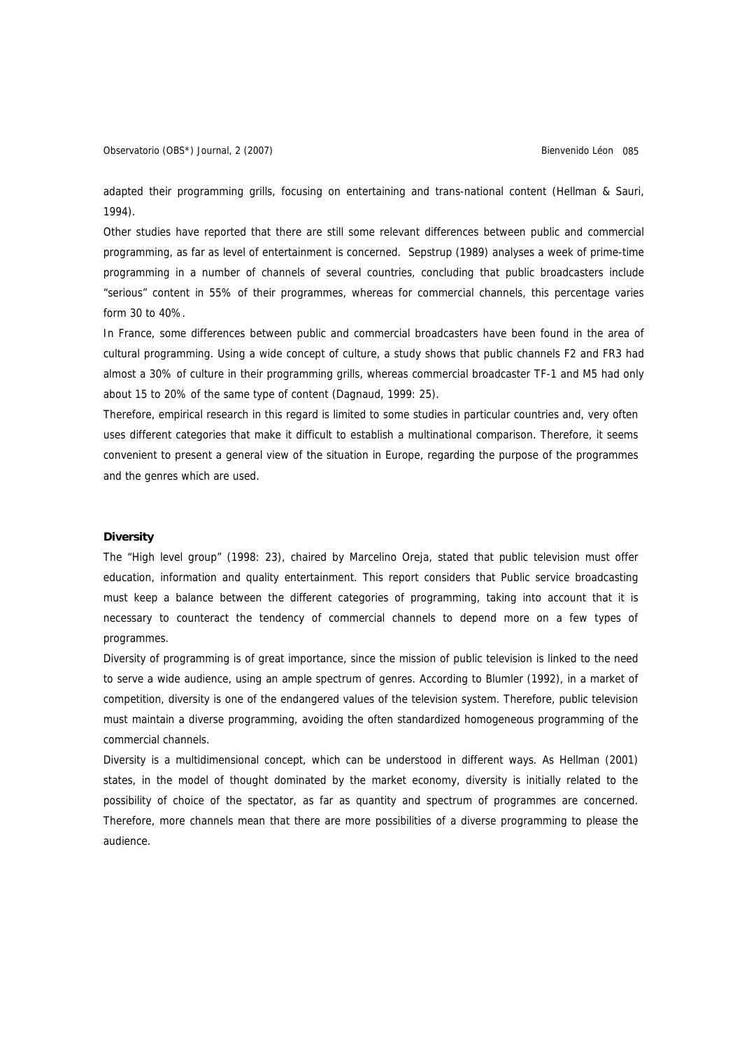Observatorio (OBS\*) Journal, 2 (2007) Charles Communication Control Communication Communication Communication Communication O85

adapted their programming grills, focusing on entertaining and trans-national content (Hellman & Sauri, 1994).

Other studies have reported that there are still some relevant differences between public and commercial programming, as far as level of entertainment is concerned. Sepstrup (1989) analyses a week of prime-time programming in a number of channels of several countries, concluding that public broadcasters include "serious" content in 55% of their programmes, whereas for commercial channels, this percentage varies form 30 to 40%.

In France, some differences between public and commercial broadcasters have been found in the area of cultural programming. Using a wide concept of culture, a study shows that public channels F2 and FR3 had almost a 30% of culture in their programming grills, whereas commercial broadcaster TF-1 and M5 had only about 15 to 20% of the same type of content (Dagnaud, 1999: 25).

Therefore, empirical research in this regard is limited to some studies in particular countries and, very often uses different categories that make it difficult to establish a multinational comparison. Therefore, it seems convenient to present a general view of the situation in Europe, regarding the purpose of the programmes and the genres which are used.

## **Diversity**

The "High level group" (1998: 23), chaired by Marcelino Oreja, stated that public television must offer education, information and quality entertainment. This report considers that Public service broadcasting must keep a balance between the different categories of programming, taking into account that it is necessary to counteract the tendency of commercial channels to depend more on a few types of programmes.

Diversity of programming is of great importance, since the mission of public television is linked to the need to serve a wide audience, using an ample spectrum of genres. According to Blumler (1992), in a market of competition, diversity is one of the endangered values of the television system. Therefore, public television must maintain a diverse programming, avoiding the often standardized homogeneous programming of the commercial channels.

Diversity is a multidimensional concept, which can be understood in different ways. As Hellman (2001) states, in the model of thought dominated by the market economy, diversity is initially related to the possibility of choice of the spectator, as far as quantity and spectrum of programmes are concerned. Therefore, more channels mean that there are more possibilities of a diverse programming to please the audience.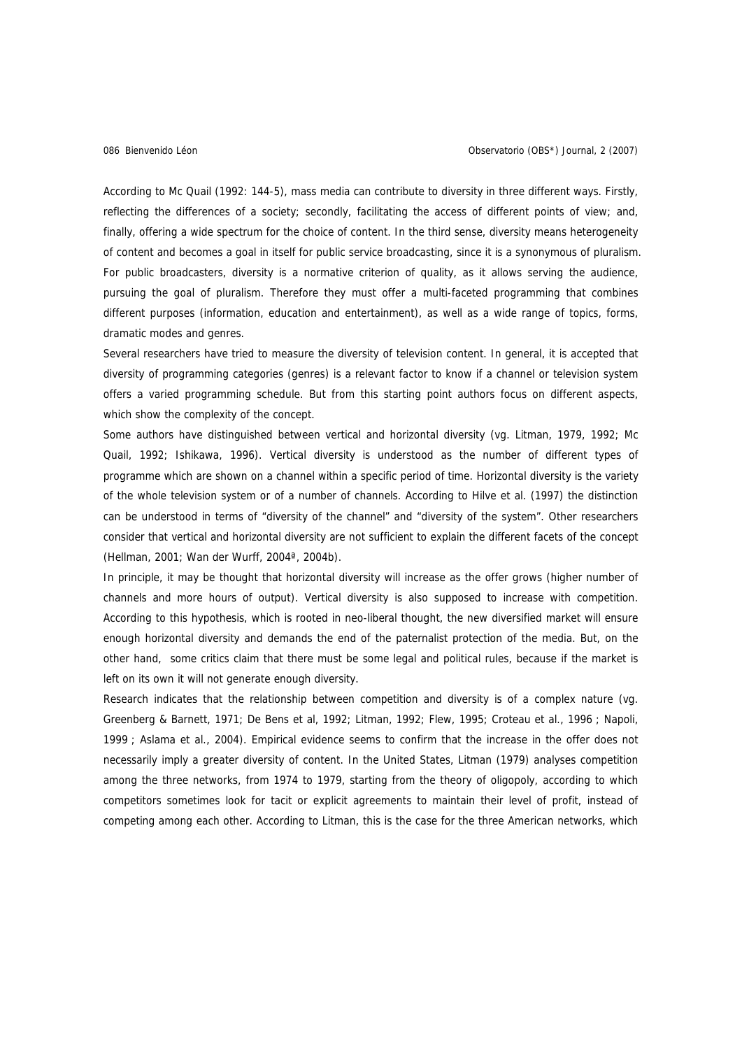According to Mc Quail (1992: 144-5), mass media can contribute to diversity in three different ways. Firstly, reflecting the differences of a society; secondly, facilitating the access of different points of view; and, finally, offering a wide spectrum for the choice of content. In the third sense, diversity means heterogeneity of content and becomes a goal in itself for public service broadcasting, since it is a synonymous of pluralism. For public broadcasters, diversity is a normative criterion of quality, as it allows serving the audience, pursuing the goal of pluralism. Therefore they must offer a multi-faceted programming that combines different purposes (information, education and entertainment), as well as a wide range of topics, forms, dramatic modes and genres.

Several researchers have tried to measure the diversity of television content. In general, it is accepted that diversity of programming categories (genres) is a relevant factor to know if a channel or television system offers a varied programming schedule. But from this starting point authors focus on different aspects, which show the complexity of the concept.

Some authors have distinguished between vertical and horizontal diversity (vg. Litman, 1979, 1992; Mc Quail, 1992; Ishikawa, 1996). Vertical diversity is understood as the number of different types of programme which are shown on a channel within a specific period of time. Horizontal diversity is the variety of the whole television system or of a number of channels. According to Hilve et al. (1997) the distinction can be understood in terms of "diversity of the channel" and "diversity of the system". Other researchers consider that vertical and horizontal diversity are not sufficient to explain the different facets of the concept (Hellman, 2001; Wan der Wurff, 2004ª, 2004b).

In principle, it may be thought that horizontal diversity will increase as the offer grows (higher number of channels and more hours of output). Vertical diversity is also supposed to increase with competition. According to this hypothesis, which is rooted in neo-liberal thought, the new diversified market will ensure enough horizontal diversity and demands the end of the paternalist protection of the media. But, on the other hand, some critics claim that there must be some legal and political rules, because if the market is left on its own it will not generate enough diversity.

Research indicates that the relationship between competition and diversity is of a complex nature (vg. Greenberg & Barnett, 1971; De Bens et al, 1992; Litman, 1992; Flew, 1995; Croteau et al., 1996 ; Napoli, 1999 ; Aslama et al., 2004). Empirical evidence seems to confirm that the increase in the offer does not necessarily imply a greater diversity of content. In the United States, Litman (1979) analyses competition among the three networks, from 1974 to 1979, starting from the theory of oligopoly, according to which competitors sometimes look for tacit or explicit agreements to maintain their level of profit, instead of competing among each other. According to Litman, this is the case for the three American networks, which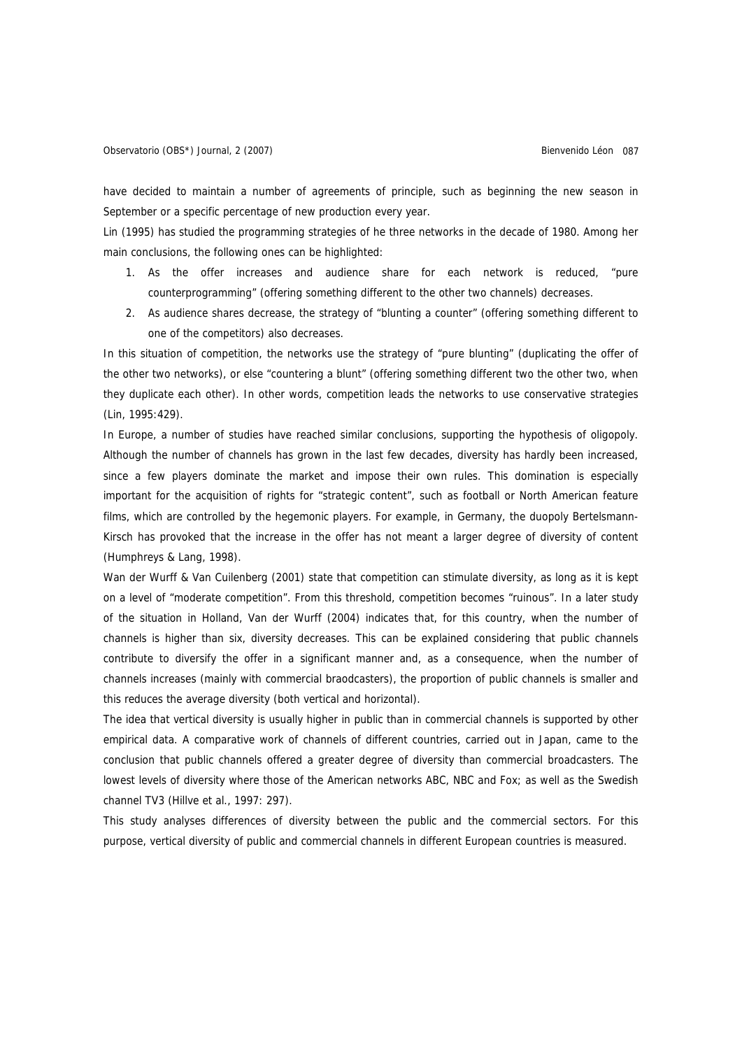have decided to maintain a number of agreements of principle, such as beginning the new season in September or a specific percentage of new production every year.

Lin (1995) has studied the programming strategies of he three networks in the decade of 1980. Among her main conclusions, the following ones can be highlighted:

- 1. As the offer increases and audience share for each network is reduced, "pure counterprogramming" (offering something different to the other two channels) decreases.
- 2. As audience shares decrease, the strategy of "blunting a counter" (offering something different to one of the competitors) also decreases.

In this situation of competition, the networks use the strategy of "pure blunting" (duplicating the offer of the other two networks), or else "countering a blunt" (offering something different two the other two, when they duplicate each other). In other words, competition leads the networks to use conservative strategies (Lin, 1995:429).

In Europe, a number of studies have reached similar conclusions, supporting the hypothesis of oligopoly. Although the number of channels has grown in the last few decades, diversity has hardly been increased, since a few players dominate the market and impose their own rules. This domination is especially important for the acquisition of rights for "strategic content", such as football or North American feature films, which are controlled by the hegemonic players. For example, in Germany, the duopoly Bertelsmann-Kirsch has provoked that the increase in the offer has not meant a larger degree of diversity of content (Humphreys & Lang, 1998).

Wan der Wurff & Van Cuilenberg (2001) state that competition can stimulate diversity, as long as it is kept on a level of "moderate competition". From this threshold, competition becomes "ruinous". In a later study of the situation in Holland, Van der Wurff (2004) indicates that, for this country, when the number of channels is higher than six, diversity decreases. This can be explained considering that public channels contribute to diversify the offer in a significant manner and, as a consequence, when the number of channels increases (mainly with commercial braodcasters), the proportion of public channels is smaller and this reduces the average diversity (both vertical and horizontal).

The idea that vertical diversity is usually higher in public than in commercial channels is supported by other empirical data. A comparative work of channels of different countries, carried out in Japan, came to the conclusion that public channels offered a greater degree of diversity than commercial broadcasters. The lowest levels of diversity where those of the American networks ABC, NBC and Fox; as well as the Swedish channel TV3 (Hillve et al., 1997: 297).

This study analyses differences of diversity between the public and the commercial sectors. For this purpose, vertical diversity of public and commercial channels in different European countries is measured.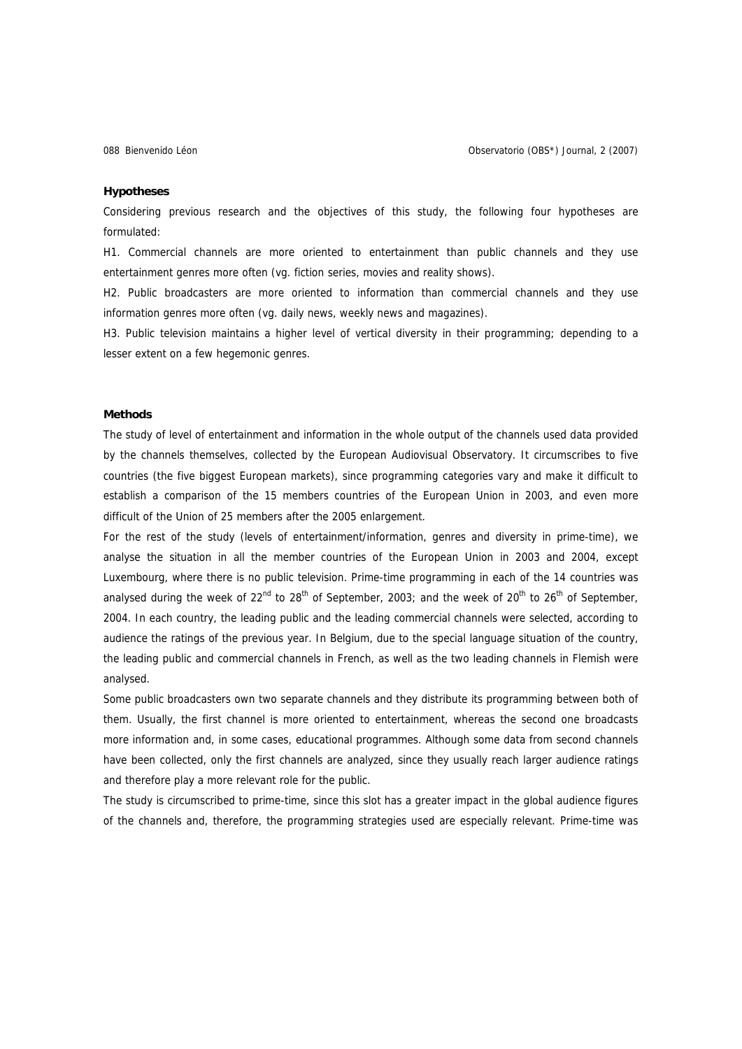## **Hypotheses**

Considering previous research and the objectives of this study, the following four hypotheses are formulated:

H1. Commercial channels are more oriented to entertainment than public channels and they use entertainment genres more often (vg. fiction series, movies and reality shows).

H2. Public broadcasters are more oriented to information than commercial channels and they use information genres more often (vg. daily news, weekly news and magazines).

H3. Public television maintains a higher level of vertical diversity in their programming; depending to a lesser extent on a few hegemonic genres.

## **Methods**

The study of level of entertainment and information in the whole output of the channels used data provided by the channels themselves, collected by the European Audiovisual Observatory. It circumscribes to five countries (the five biggest European markets), since programming categories vary and make it difficult to establish a comparison of the 15 members countries of the European Union in 2003, and even more difficult of the Union of 25 members after the 2005 enlargement.

For the rest of the study (levels of entertainment/information, genres and diversity in prime-time), we analyse the situation in all the member countries of the European Union in 2003 and 2004, except Luxembourg, where there is no public television. Prime-time programming in each of the 14 countries was analysed during the week of 22<sup>nd</sup> to 28<sup>th</sup> of September, 2003; and the week of 20<sup>th</sup> to 26<sup>th</sup> of September, 2004. In each country, the leading public and the leading commercial channels were selected, according to audience the ratings of the previous year. In Belgium, due to the special language situation of the country, the leading public and commercial channels in French, as well as the two leading channels in Flemish were analysed.

Some public broadcasters own two separate channels and they distribute its programming between both of them. Usually, the first channel is more oriented to entertainment, whereas the second one broadcasts more information and, in some cases, educational programmes. Although some data from second channels have been collected, only the first channels are analyzed, since they usually reach larger audience ratings and therefore play a more relevant role for the public.

The study is circumscribed to prime-time, since this slot has a greater impact in the global audience figures of the channels and, therefore, the programming strategies used are especially relevant. Prime-time was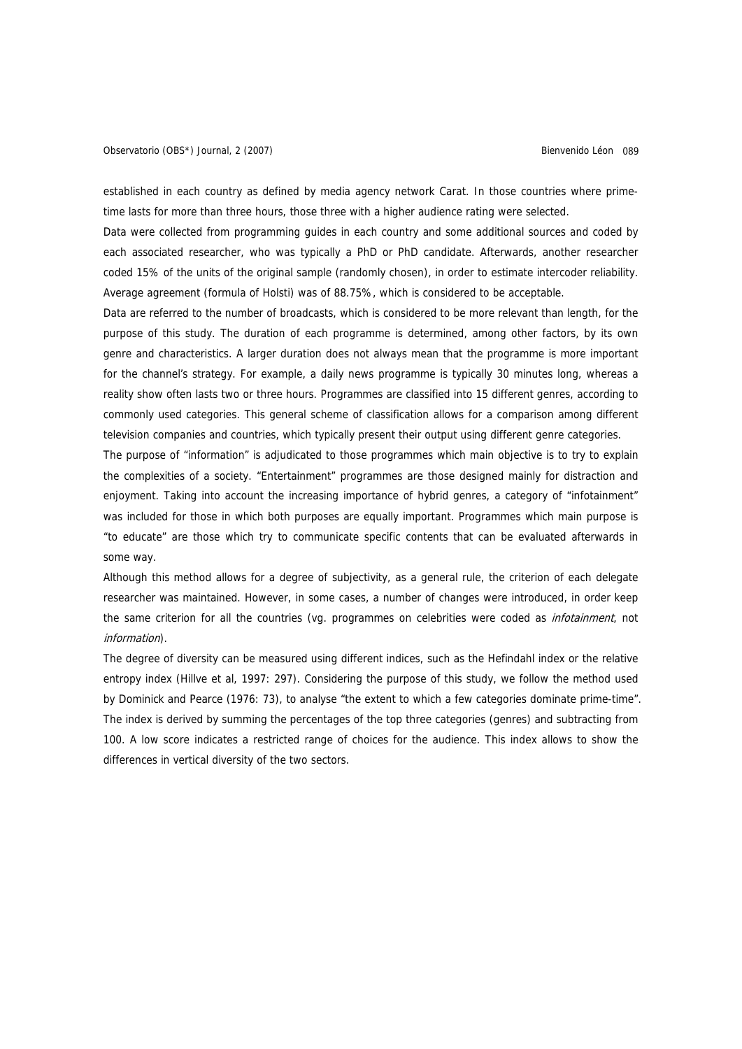established in each country as defined by media agency network Carat. In those countries where primetime lasts for more than three hours, those three with a higher audience rating were selected.

Data were collected from programming guides in each country and some additional sources and coded by each associated researcher, who was typically a PhD or PhD candidate. Afterwards, another researcher coded 15% of the units of the original sample (randomly chosen), in order to estimate intercoder reliability. Average agreement (formula of Holsti) was of 88.75%, which is considered to be acceptable.

Data are referred to the number of broadcasts, which is considered to be more relevant than length, for the purpose of this study. The duration of each programme is determined, among other factors, by its own genre and characteristics. A larger duration does not always mean that the programme is more important for the channel's strategy. For example, a daily news programme is typically 30 minutes long, whereas a reality show often lasts two or three hours. Programmes are classified into 15 different genres, according to commonly used categories. This general scheme of classification allows for a comparison among different television companies and countries, which typically present their output using different genre categories.

The purpose of "information" is adjudicated to those programmes which main objective is to try to explain the complexities of a society. "Entertainment" programmes are those designed mainly for distraction and enjoyment. Taking into account the increasing importance of hybrid genres, a category of "infotainment" was included for those in which both purposes are equally important. Programmes which main purpose is "to educate" are those which try to communicate specific contents that can be evaluated afterwards in some way.

Although this method allows for a degree of subjectivity, as a general rule, the criterion of each delegate researcher was maintained. However, in some cases, a number of changes were introduced, in order keep the same criterion for all the countries (vg. programmes on celebrities were coded as infotainment, not information).

The degree of diversity can be measured using different indices, such as the Hefindahl index or the relative entropy index (Hillve et al, 1997: 297). Considering the purpose of this study, we follow the method used by Dominick and Pearce (1976: 73), to analyse "the extent to which a few categories dominate prime-time". The index is derived by summing the percentages of the top three categories (genres) and subtracting from 100. A low score indicates a restricted range of choices for the audience. This index allows to show the differences in vertical diversity of the two sectors.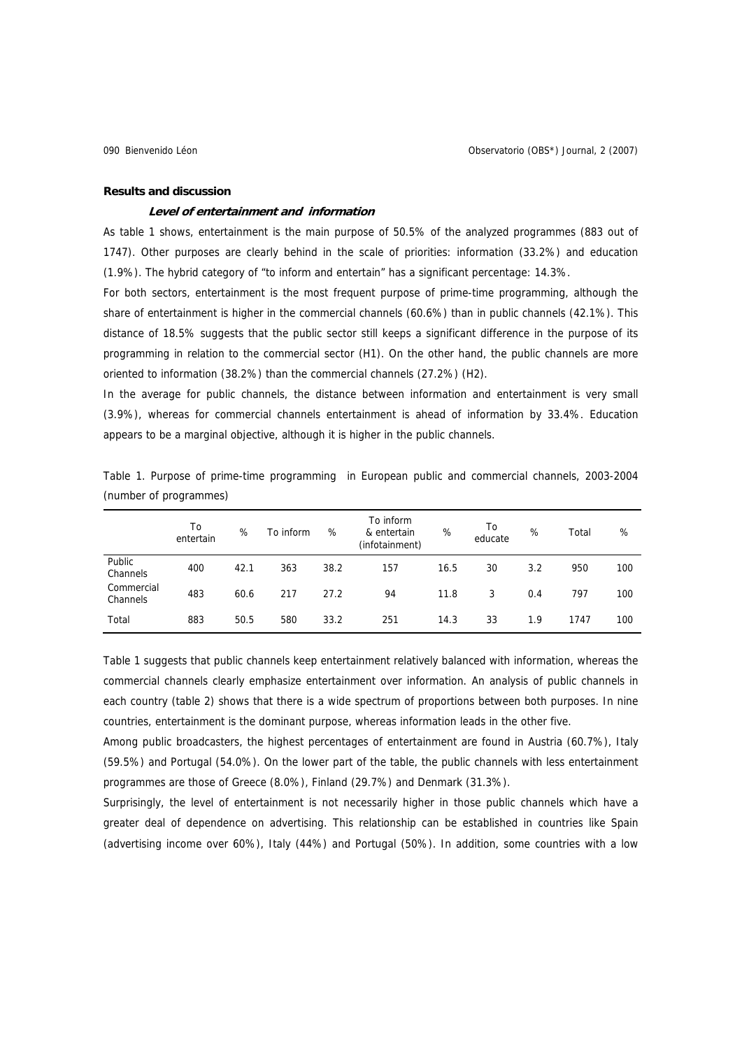## **Results and discussion**

## **Level of entertainment and information**

As table 1 shows, entertainment is the main purpose of 50.5% of the analyzed programmes (883 out of 1747). Other purposes are clearly behind in the scale of priorities: information (33.2%) and education (1.9%). The hybrid category of "to inform and entertain" has a significant percentage: 14.3%.

For both sectors, entertainment is the most frequent purpose of prime-time programming, although the share of entertainment is higher in the commercial channels (60.6%) than in public channels (42.1%). This distance of 18.5% suggests that the public sector still keeps a significant difference in the purpose of its programming in relation to the commercial sector (H1). On the other hand, the public channels are more oriented to information (38.2%) than the commercial channels (27.2%) (H2).

In the average for public channels, the distance between information and entertainment is very small (3.9%), whereas for commercial channels entertainment is ahead of information by 33.4%. Education appears to be a marginal objective, although it is higher in the public channels.

| (number of programmes) |                 |      |           |      |                                            |      |               |     |       |     |
|------------------------|-----------------|------|-----------|------|--------------------------------------------|------|---------------|-----|-------|-----|
|                        | To<br>entertain | %    | To inform | %    | To inform<br>& entertain<br>(infotainment) | %    | To<br>educate | %   | Total | %   |
| Public<br>Channels     | 400             | 42.1 | 363       | 38.2 | 157                                        | 16.5 | 30            | 3.2 | 950   | 100 |
| Commercial<br>Channels | 483             | 60.6 | 217       | 27.2 | 94                                         | 11.8 | 3             | 0.4 | 797   | 100 |
| Total                  | 883             | 50.5 | 580       | 33.2 | 251                                        | 14.3 | 33            | 1.9 | 1747  | 100 |

Table 1. Purpose of prime-time programming in European public and commercial channels, 2003-2004 (number of programmes)

Table 1 suggests that public channels keep entertainment relatively balanced with information, whereas the commercial channels clearly emphasize entertainment over information. An analysis of public channels in each country (table 2) shows that there is a wide spectrum of proportions between both purposes. In nine countries, entertainment is the dominant purpose, whereas information leads in the other five.

Among public broadcasters, the highest percentages of entertainment are found in Austria (60.7%), Italy (59.5%) and Portugal (54.0%). On the lower part of the table, the public channels with less entertainment programmes are those of Greece (8.0%), Finland (29.7%) and Denmark (31.3%).

Surprisingly, the level of entertainment is not necessarily higher in those public channels which have a greater deal of dependence on advertising. This relationship can be established in countries like Spain (advertising income over 60%), Italy (44%) and Portugal (50%). In addition, some countries with a low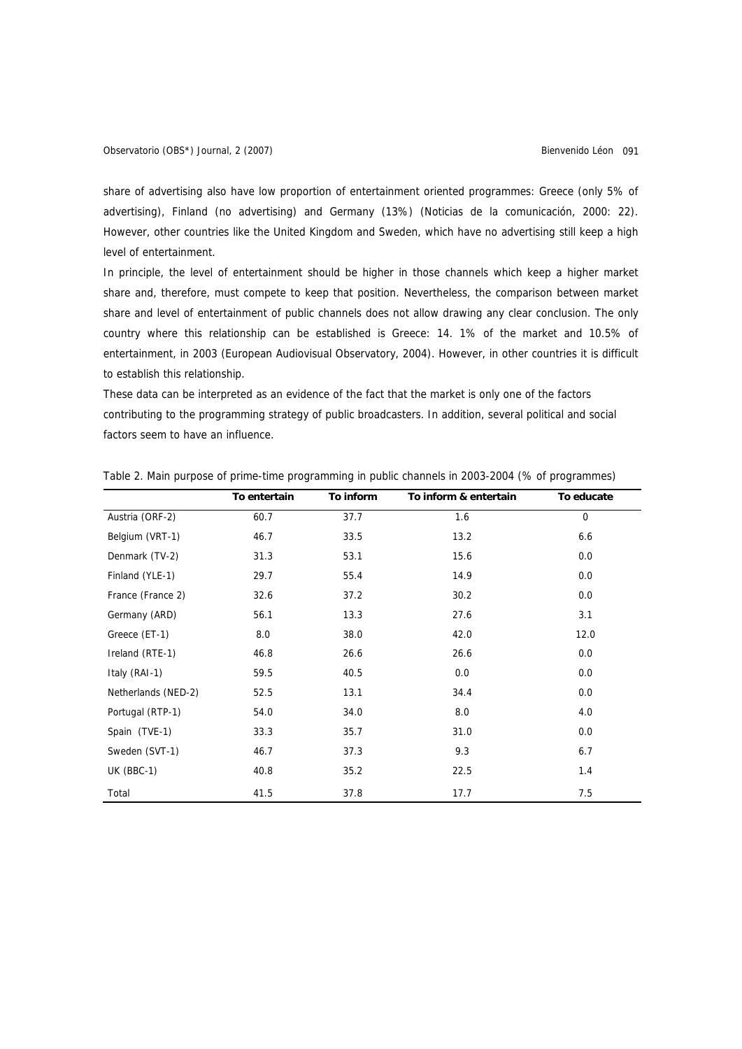share of advertising also have low proportion of entertainment oriented programmes: Greece (only 5% of advertising), Finland (no advertising) and Germany (13%) (Noticias de la comunicación, 2000: 22). However, other countries like the United Kingdom and Sweden, which have no advertising still keep a high level of entertainment.

In principle, the level of entertainment should be higher in those channels which keep a higher market share and, therefore, must compete to keep that position. Nevertheless, the comparison between market share and level of entertainment of public channels does not allow drawing any clear conclusion. The only country where this relationship can be established is Greece: 14. 1% of the market and 10.5% of entertainment, in 2003 (European Audiovisual Observatory, 2004). However, in other countries it is difficult to establish this relationship.

These data can be interpreted as an evidence of the fact that the market is only one of the factors contributing to the programming strategy of public broadcasters. In addition, several political and social factors seem to have an influence.

|                     | To entertain | To inform | To inform & entertain | To educate |
|---------------------|--------------|-----------|-----------------------|------------|
| Austria (ORF-2)     | 60.7         | 37.7      | 1.6                   | 0          |
| Belgium (VRT-1)     | 46.7         | 33.5      | 13.2                  | 6.6        |
| Denmark (TV-2)      | 31.3         | 53.1      | 15.6                  | 0.0        |
| Finland (YLE-1)     | 29.7         | 55.4      | 14.9                  | 0.0        |
| France (France 2)   | 32.6         | 37.2      | 30.2                  | 0.0        |
| Germany (ARD)       | 56.1         | 13.3      | 27.6                  | 3.1        |
| Greece (ET-1)       | 8.0          | 38.0      | 42.0                  | 12.0       |
| Ireland (RTE-1)     | 46.8         | 26.6      | 26.6                  | 0.0        |
| Italy (RAI-1)       | 59.5         | 40.5      | 0.0                   | 0.0        |
| Netherlands (NED-2) | 52.5         | 13.1      | 34.4                  | 0.0        |
| Portugal (RTP-1)    | 54.0         | 34.0      | 8.0                   | 4.0        |
| Spain (TVE-1)       | 33.3         | 35.7      | 31.0                  | 0.0        |
| Sweden (SVT-1)      | 46.7         | 37.3      | 9.3                   | 6.7        |
| $UK (BBC-1)$        | 40.8         | 35.2      | 22.5                  | 1.4        |
| Total               | 41.5         | 37.8      | 17.7                  | 7.5        |

Table 2. Main purpose of prime-time programming in public channels in 2003-2004 (% of programmes)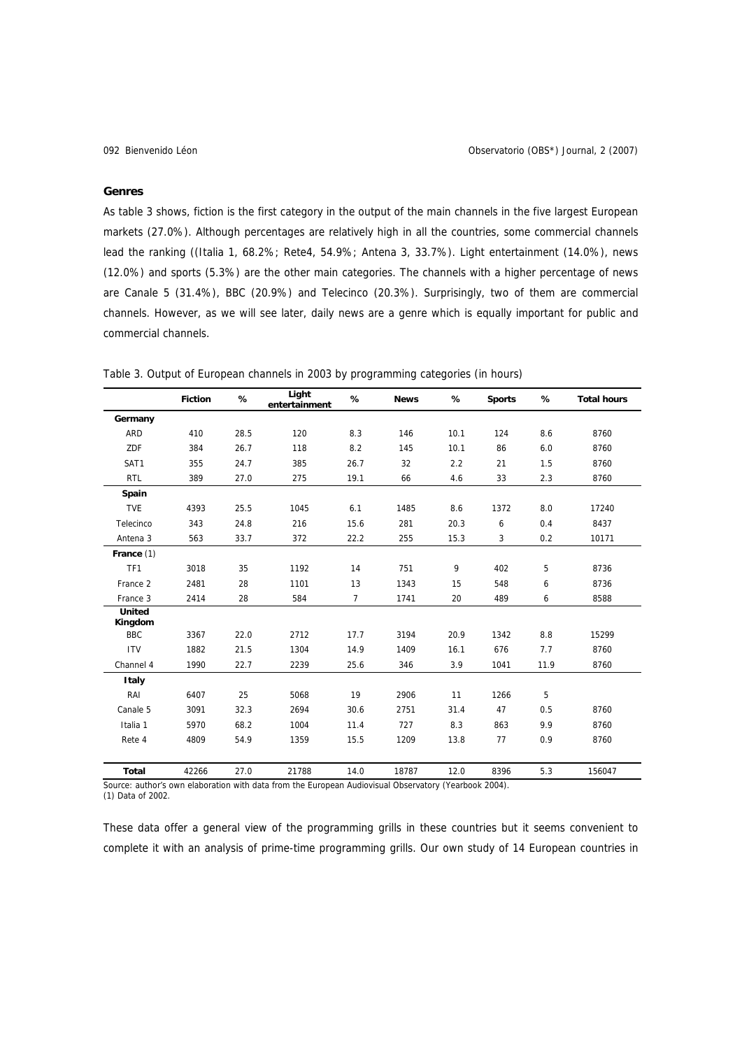## **Genres**

As table 3 shows, fiction is the first category in the output of the main channels in the five largest European markets (27.0%). Although percentages are relatively high in all the countries, some commercial channels lead the ranking ((Italia 1, 68.2%; Rete4, 54.9%; Antena 3, 33.7%). Light entertainment (14.0%), news (12.0%) and sports (5.3%) are the other main categories. The channels with a higher percentage of news are Canale 5 (31.4%), BBC (20.9%) and Telecinco (20.3%). Surprisingly, two of them are commercial channels. However, as we will see later, daily news are a genre which is equally important for public and commercial channels.

Table 3. Output of European channels in 2003 by programming categories (in hours)

|                          | <b>Fiction</b> | %    | Light<br>entertainment | %              | <b>News</b> | %    | <b>Sports</b> | %    | <b>Total hours</b> |
|--------------------------|----------------|------|------------------------|----------------|-------------|------|---------------|------|--------------------|
| Germany                  |                |      |                        |                |             |      |               |      |                    |
| <b>ARD</b>               | 410            | 28.5 | 120                    | 8.3            | 146         | 10.1 | 124           | 8.6  | 8760               |
| ZDF                      | 384            | 26.7 | 118                    | 8.2            | 145         | 10.1 | 86            | 6.0  | 8760               |
| SAT1                     | 355            | 24.7 | 385                    | 26.7           | 32          | 2.2  | 21            | 1.5  | 8760               |
| <b>RTL</b>               | 389            | 27.0 | 275                    | 19.1           | 66          | 4.6  | 33            | 2.3  | 8760               |
| Spain                    |                |      |                        |                |             |      |               |      |                    |
| <b>TVE</b>               | 4393           | 25.5 | 1045                   | 6.1            | 1485        | 8.6  | 1372          | 8.0  | 17240              |
| Telecinco                | 343            | 24.8 | 216                    | 15.6           | 281         | 20.3 | 6             | 0.4  | 8437               |
| Antena <sub>3</sub>      | 563            | 33.7 | 372                    | 22.2           | 255         | 15.3 | 3             | 0.2  | 10171              |
| France (1)               |                |      |                        |                |             |      |               |      |                    |
| TF1                      | 3018           | 35   | 1192                   | 14             | 751         | 9    | 402           | 5    | 8736               |
| France 2                 | 2481           | 28   | 1101                   | 13             | 1343        | 15   | 548           | 6    | 8736               |
| France 3                 | 2414           | 28   | 584                    | $\overline{7}$ | 1741        | 20   | 489           | 6    | 8588               |
| <b>United</b><br>Kingdom |                |      |                        |                |             |      |               |      |                    |
| <b>BBC</b>               | 3367           | 22.0 | 2712                   | 17.7           | 3194        | 20.9 | 1342          | 8.8  | 15299              |
| <b>ITV</b>               | 1882           | 21.5 | 1304                   | 14.9           | 1409        | 16.1 | 676           | 7.7  | 8760               |
| Channel 4                | 1990           | 22.7 | 2239                   | 25.6           | 346         | 3.9  | 1041          | 11.9 | 8760               |
| <b>Italy</b>             |                |      |                        |                |             |      |               |      |                    |
| RAI                      | 6407           | 25   | 5068                   | 19             | 2906        | 11   | 1266          | 5    |                    |
| Canale 5                 | 3091           | 32.3 | 2694                   | 30.6           | 2751        | 31.4 | 47            | 0.5  | 8760               |
| Italia 1                 | 5970           | 68.2 | 1004                   | 11.4           | 727         | 8.3  | 863           | 9.9  | 8760               |
| Rete 4                   | 4809           | 54.9 | 1359                   | 15.5           | 1209        | 13.8 | 77            | 0.9  | 8760               |
| <b>Total</b>             | 42266          | 27.0 | 21788                  | 14.0           | 18787       | 12.0 | 8396          | 5.3  | 156047             |

ource: author's own elaboration with data from the European Audiovisual Observatory (Yearbook 2004).

(1) Data of 2002.

These data offer a general view of the programming grills in these countries but it seems convenient to complete it with an analysis of prime-time programming grills. Our own study of 14 European countries in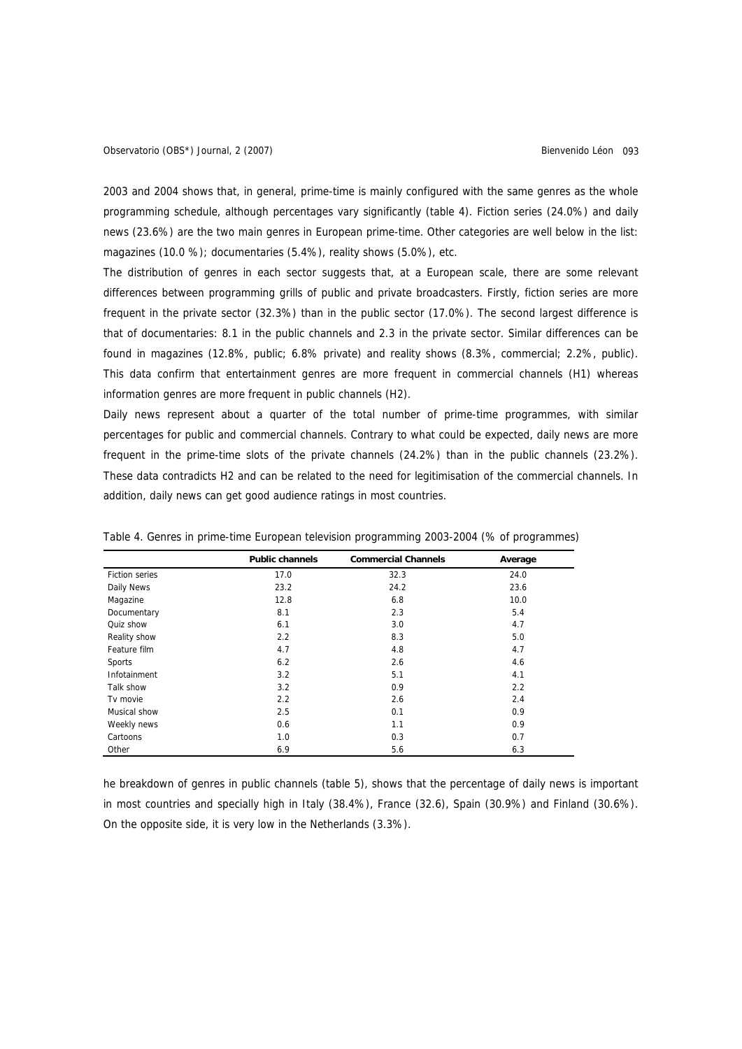2003 and 2004 shows that, in general, prime-time is mainly configured with the same genres as the whole programming schedule, although percentages vary significantly (table 4). Fiction series (24.0%) and daily news (23.6%) are the two main genres in European prime-time. Other categories are well below in the list: magazines (10.0 %); documentaries (5.4%), reality shows (5.0%), etc.

The distribution of genres in each sector suggests that, at a European scale, there are some relevant differences between programming grills of public and private broadcasters. Firstly, fiction series are more frequent in the private sector (32.3%) than in the public sector (17.0%). The second largest difference is that of documentaries: 8.1 in the public channels and 2.3 in the private sector. Similar differences can be found in magazines (12.8%, public; 6.8% private) and reality shows (8.3%, commercial; 2.2%, public). This data confirm that entertainment genres are more frequent in commercial channels (H1) whereas information genres are more frequent in public channels (H2).

Daily news represent about a quarter of the total number of prime-time programmes, with similar percentages for public and commercial channels. Contrary to what could be expected, daily news are more frequent in the prime-time slots of the private channels (24.2%) than in the public channels (23.2%). These data contradicts H2 and can be related to the need for legitimisation of the commercial channels. In addition, daily news can get good audience ratings in most countries.

|                       | <b>Public channels</b> | <b>Commercial Channels</b> | Average |
|-----------------------|------------------------|----------------------------|---------|
| <b>Fiction series</b> | 17.0                   | 32.3                       | 24.0    |
| Daily News            | 23.2                   | 24.2                       | 23.6    |
| Magazine              | 12.8                   | 6.8                        | 10.0    |
| Documentary           | 8.1                    | 2.3                        | 5.4     |
| Quiz show             | 6.1                    | 3.0                        | 4.7     |
| Reality show          | 2.2                    | 8.3                        | 5.0     |
| Feature film          | 4.7                    | 4.8                        | 4.7     |
| Sports                | 6.2                    | 2.6                        | 4.6     |
| Infotainment          | 3.2                    | 5.1                        | 4.1     |
| Talk show             | 3.2                    | 0.9                        | 2.2     |
| Tv movie              | 2.2                    | 2.6                        | 2.4     |
| Musical show          | 2.5                    | 0.1                        | 0.9     |
| Weekly news           | 0.6                    | 1.1                        | 0.9     |
| Cartoons              | 1.0                    | 0.3                        | 0.7     |
| Other                 | 6.9                    | 5.6                        | 6.3     |

Table 4. Genres in prime-time European television programming 2003-2004 (% of programmes)

he breakdown of genres in public channels (table 5), shows that the percentage of daily news is important in most countries and specially high in Italy (38.4%), France (32.6), Spain (30.9%) and Finland (30.6%). On the opposite side, it is very low in the Netherlands (3.3%).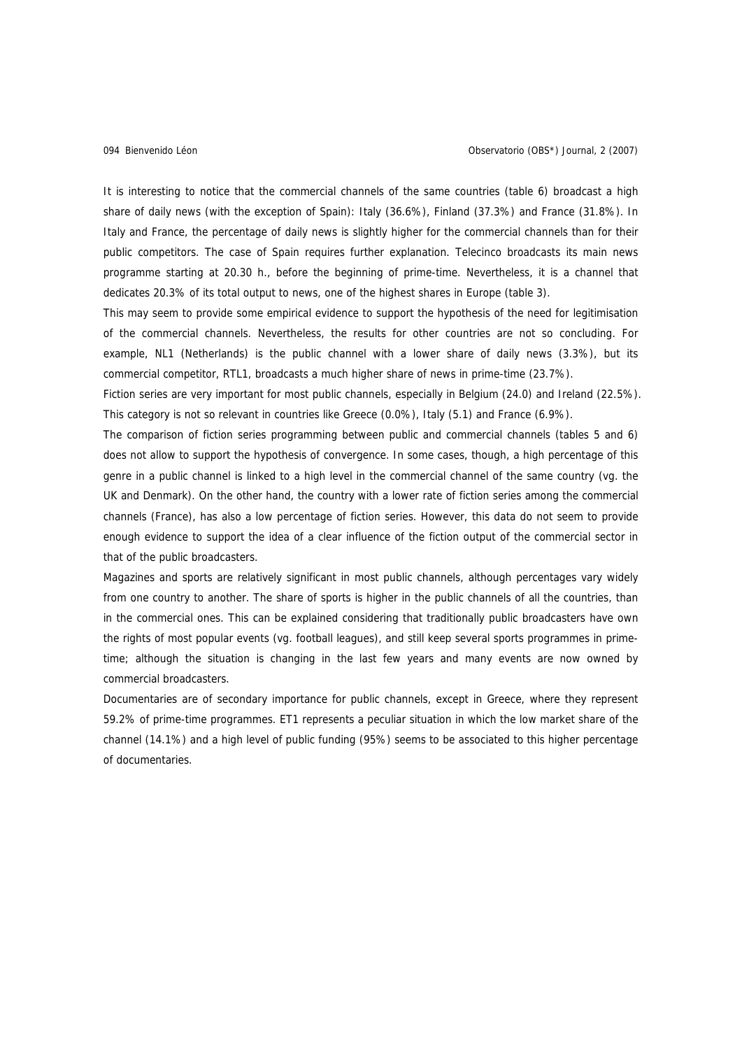It is interesting to notice that the commercial channels of the same countries (table 6) broadcast a high share of daily news (with the exception of Spain): Italy (36.6%), Finland (37.3%) and France (31.8%). In Italy and France, the percentage of daily news is slightly higher for the commercial channels than for their public competitors. The case of Spain requires further explanation. Telecinco broadcasts its main news programme starting at 20.30 h., before the beginning of prime-time. Nevertheless, it is a channel that dedicates 20.3% of its total output to news, one of the highest shares in Europe (table 3).

This may seem to provide some empirical evidence to support the hypothesis of the need for legitimisation of the commercial channels. Nevertheless, the results for other countries are not so concluding. For example, NL1 (Netherlands) is the public channel with a lower share of daily news (3.3%), but its commercial competitor, RTL1, broadcasts a much higher share of news in prime-time (23.7%).

Fiction series are very important for most public channels, especially in Belgium (24.0) and Ireland (22.5%). This category is not so relevant in countries like Greece (0.0%), Italy (5.1) and France (6.9%).

The comparison of fiction series programming between public and commercial channels (tables 5 and 6) does not allow to support the hypothesis of convergence. In some cases, though, a high percentage of this genre in a public channel is linked to a high level in the commercial channel of the same country (vg. the UK and Denmark). On the other hand, the country with a lower rate of fiction series among the commercial channels (France), has also a low percentage of fiction series. However, this data do not seem to provide enough evidence to support the idea of a clear influence of the fiction output of the commercial sector in that of the public broadcasters.

Magazines and sports are relatively significant in most public channels, although percentages vary widely from one country to another. The share of sports is higher in the public channels of all the countries, than in the commercial ones. This can be explained considering that traditionally public broadcasters have own the rights of most popular events (vg. football leagues), and still keep several sports programmes in primetime; although the situation is changing in the last few years and many events are now owned by commercial broadcasters.

Documentaries are of secondary importance for public channels, except in Greece, where they represent 59.2% of prime-time programmes. ET1 represents a peculiar situation in which the low market share of the channel (14.1%) and a high level of public funding (95%) seems to be associated to this higher percentage of documentaries.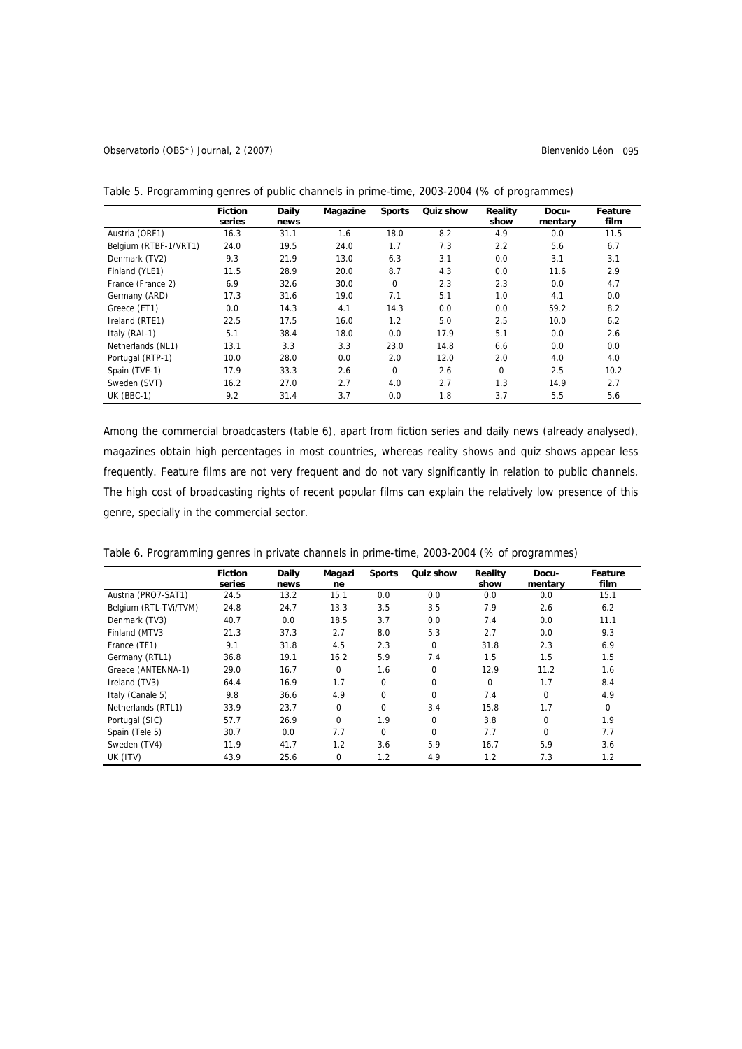Observatorio (OBS\*) Journal, 2 (2007) Bienvenido Léon 095

|                       | <b>Fiction</b><br>series | Daily<br>news | Magazine | <b>Sports</b> | Quiz show | Reality<br>show | Docu-<br>mentary | Feature<br>film |
|-----------------------|--------------------------|---------------|----------|---------------|-----------|-----------------|------------------|-----------------|
| Austria (ORF1)        | 16.3                     | 31.1          | 1.6      | 18.0          | 8.2       | 4.9             | 0.0              | 11.5            |
| Belgium (RTBF-1/VRT1) | 24.0                     | 19.5          | 24.0     | 1.7           | 7.3       | 2.2             | 5.6              | 6.7             |
| Denmark (TV2)         | 9.3                      | 21.9          | 13.0     | 6.3           | 3.1       | 0.0             | 3.1              | 3.1             |
| Finland (YLE1)        | 11.5                     | 28.9          | 20.0     | 8.7           | 4.3       | 0.0             | 11.6             | 2.9             |
| France (France 2)     | 6.9                      | 32.6          | 30.0     | $\mathbf 0$   | 2.3       | 2.3             | 0.0              | 4.7             |
| Germany (ARD)         | 17.3                     | 31.6          | 19.0     | 7.1           | 5.1       | 1.0             | 4.1              | 0.0             |
| Greece (ET1)          | 0.0                      | 14.3          | 4.1      | 14.3          | 0.0       | 0.0             | 59.2             | 8.2             |
| Ireland (RTE1)        | 22.5                     | 17.5          | 16.0     | 1.2           | 5.0       | 2.5             | 10.0             | 6.2             |
| Italy (RAI-1)         | 5.1                      | 38.4          | 18.0     | 0.0           | 17.9      | 5.1             | 0.0              | 2.6             |
| Netherlands (NL1)     | 13.1                     | 3.3           | 3.3      | 23.0          | 14.8      | 6.6             | 0.0              | 0.0             |
| Portugal (RTP-1)      | 10.0                     | 28.0          | 0.0      | 2.0           | 12.0      | 2.0             | 4.0              | 4.0             |
| Spain (TVE-1)         | 17.9                     | 33.3          | 2.6      | $\mathbf 0$   | 2.6       | $\Omega$        | 2.5              | 10.2            |
| Sweden (SVT)          | 16.2                     | 27.0          | 2.7      | 4.0           | 2.7       | 1.3             | 14.9             | 2.7             |
| UK (BBC-1)            | 9.2                      | 31.4          | 3.7      | 0.0           | 1.8       | 3.7             | 5.5              | 5.6             |

Table 5. Programming genres of public channels in prime-time, 2003-2004 (% of programmes)

Among the commercial broadcasters (table 6), apart from fiction series and daily news (already analysed), magazines obtain high percentages in most countries, whereas reality shows and quiz shows appear less frequently. Feature films are not very frequent and do not vary significantly in relation to public channels. The high cost of broadcasting rights of recent popular films can explain the relatively low presence of this genre, specially in the commercial sector.

|                       | <b>Fiction</b><br>series | Daily<br>news | Magazi<br>ne | <b>Sports</b> | Quiz show   | Reality<br>show | Docu-<br>mentary | Feature<br>film |
|-----------------------|--------------------------|---------------|--------------|---------------|-------------|-----------------|------------------|-----------------|
| Austria (PRO7-SAT1)   | 24.5                     | 13.2          | 15.1         | 0.0           | 0.0         | 0.0             | 0.0              | 15.1            |
| Belgium (RTL-TVi/TVM) | 24.8                     | 24.7          | 13.3         | 3.5           | 3.5         | 7.9             | 2.6              | 6.2             |
| Denmark (TV3)         | 40.7                     | 0.0           | 18.5         | 3.7           | 0.0         | 7.4             | 0.0              | 11.1            |
| Finland (MTV3         | 21.3                     | 37.3          | 2.7          | 8.0           | 5.3         | 2.7             | 0.0              | 9.3             |
| France (TF1)          | 9.1                      | 31.8          | 4.5          | 2.3           | $\mathbf 0$ | 31.8            | 2.3              | 6.9             |
| Germany (RTL1)        | 36.8                     | 19.1          | 16.2         | 5.9           | 7.4         | 1.5             | 1.5              | 1.5             |
| Greece (ANTENNA-1)    | 29.0                     | 16.7          | $\Omega$     | 1.6           | 0           | 12.9            | 11.2             | 1.6             |
| Ireland (TV3)         | 64.4                     | 16.9          | 1.7          | 0             | 0           | 0               | 1.7              | 8.4             |
| Italy (Canale 5)      | 9.8                      | 36.6          | 4.9          | $\Omega$      | $\mathbf 0$ | 7.4             | $\mathbf 0$      | 4.9             |
| Netherlands (RTL1)    | 33.9                     | 23.7          | $\Omega$     | $\Omega$      | 3.4         | 15.8            | 1.7              | $\mathbf 0$     |
| Portugal (SIC)        | 57.7                     | 26.9          | 0            | 1.9           | 0           | 3.8             | 0                | 1.9             |
| Spain (Tele 5)        | 30.7                     | 0.0           | 7.7          | 0             | 0           | 7.7             | $\Omega$         | 7.7             |
| Sweden (TV4)          | 11.9                     | 41.7          | 1.2          | 3.6           | 5.9         | 16.7            | 5.9              | 3.6             |
| UK (ITV)              | 43.9                     | 25.6          | 0            | 1.2           | 4.9         | 1.2             | 7.3              | 1.2             |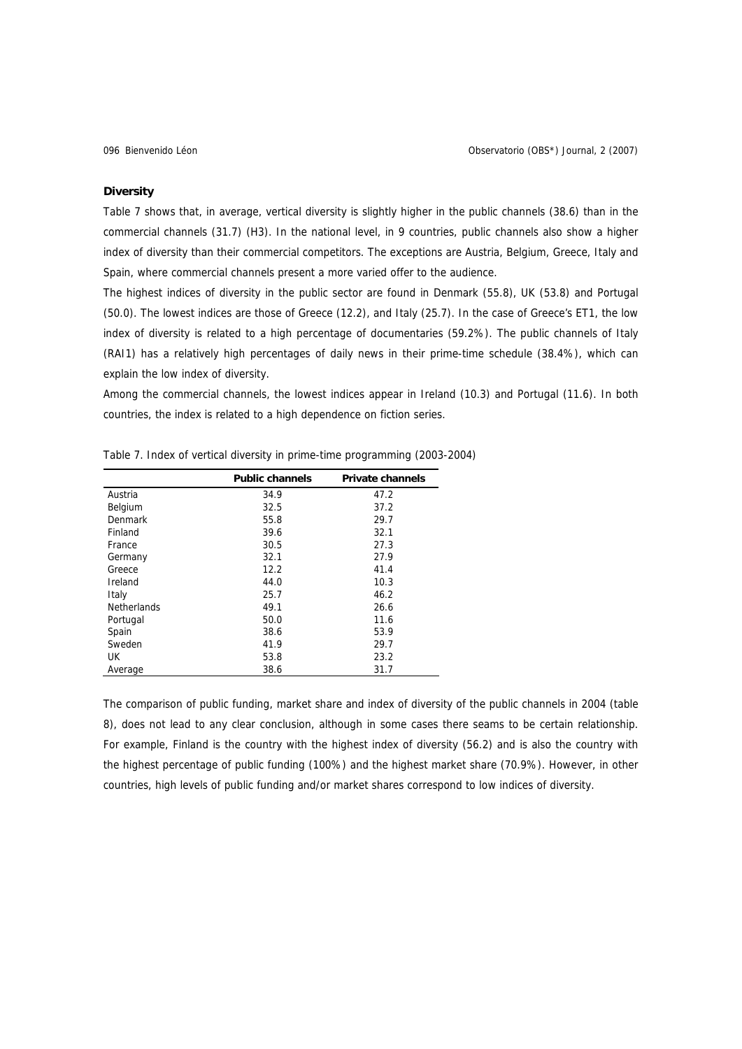## **Diversity**

Table 7 shows that, in average, vertical diversity is slightly higher in the public channels (38.6) than in the commercial channels (31.7) (H3). In the national level, in 9 countries, public channels also show a higher index of diversity than their commercial competitors. The exceptions are Austria, Belgium, Greece, Italy and Spain, where commercial channels present a more varied offer to the audience.

The highest indices of diversity in the public sector are found in Denmark (55.8), UK (53.8) and Portugal (50.0). The lowest indices are those of Greece (12.2), and Italy (25.7). In the case of Greece's ET1, the low index of diversity is related to a high percentage of documentaries (59.2%). The public channels of Italy (RAI1) has a relatively high percentages of daily news in their prime-time schedule (38.4%), which can explain the low index of diversity.

Among the commercial channels, the lowest indices appear in Ireland (10.3) and Portugal (11.6). In both countries, the index is related to a high dependence on fiction series.

|                    | <b>Public channels</b> | <b>Private channels</b> |
|--------------------|------------------------|-------------------------|
| Austria            | 34.9                   | 47.2                    |
| Belgium            | 32.5                   | 37.2                    |
| Denmark            | 55.8                   | 29.7                    |
| Finland            | 39.6                   | 32.1                    |
| France             | 30.5                   | 27.3                    |
| Germany            | 32.1                   | 27.9                    |
| Greece             | 12.2                   | 41.4                    |
| Ireland            | 44.0                   | 10.3                    |
| Italy              | 25.7                   | 46.2                    |
| <b>Netherlands</b> | 49.1                   | 26.6                    |
| Portugal           | 50.0                   | 11.6                    |
| Spain              | 38.6                   | 53.9                    |
| Sweden             | 41.9                   | 29.7                    |
| UK                 | 53.8                   | 23.2                    |
| Average            | 38.6                   | 31.7                    |

Table 7. Index of vertical diversity in prime-time programming (2003-2004)

The comparison of public funding, market share and index of diversity of the public channels in 2004 (table 8), does not lead to any clear conclusion, although in some cases there seams to be certain relationship. For example, Finland is the country with the highest index of diversity (56.2) and is also the country with the highest percentage of public funding (100%) and the highest market share (70.9%). However, in other countries, high levels of public funding and/or market shares correspond to low indices of diversity.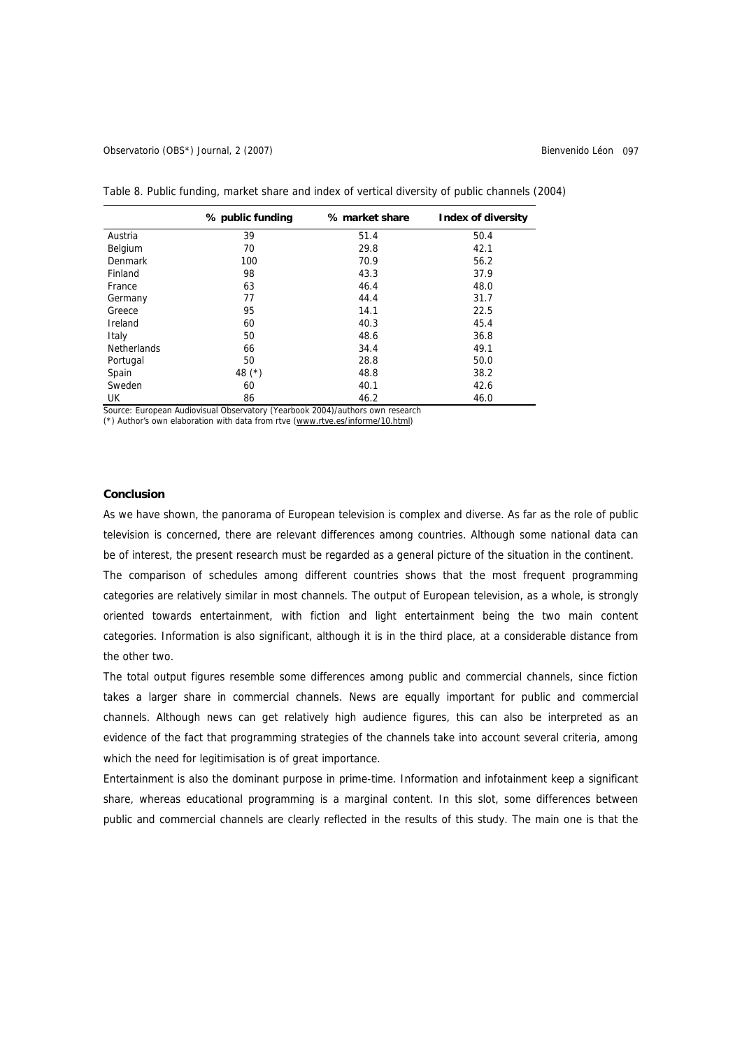|  | Table 8. Public funding, market share and index of vertical diversity of public channels (2004) |  |  |  |  |  |  |
|--|-------------------------------------------------------------------------------------------------|--|--|--|--|--|--|
|--|-------------------------------------------------------------------------------------------------|--|--|--|--|--|--|

|                    | % public funding | % market share | Index of diversity |
|--------------------|------------------|----------------|--------------------|
| Austria            | 39               | 51.4           | 50.4               |
| Belgium            | 70               | 29.8           | 42.1               |
| Denmark            | 100              | 70.9           | 56.2               |
| Finland            | 98               | 43.3           | 37.9               |
| France             | 63               | 46.4           | 48.0               |
| Germany            | 77               | 44.4           | 31.7               |
| Greece             | 95               | 14.1           | 22.5               |
| Ireland            | 60               | 40.3           | 45.4               |
| Italy              | 50               | 48.6           | 36.8               |
| <b>Netherlands</b> | 66               | 34.4           | 49.1               |
| Portugal           | 50               | 28.8           | 50.0               |
| Spain              | 48 $(*)$         | 48.8           | 38.2               |
| Sweden             | 60               | 40.1           | 42.6               |
| UK                 | 86               | 46.2           | 46.0               |

Source: European Audiovisual Observatory (Yearbook 2004)/authors own research

(\*) Author's own elaboration with data from rtve [\(www.rtve.es/informe/10.html](http://www.rtve.es/informe/10.html))

### **Conclusion**

As we have shown, the panorama of European television is complex and diverse. As far as the role of public television is concerned, there are relevant differences among countries. Although some national data can be of interest, the present research must be regarded as a general picture of the situation in the continent. The comparison of schedules among different countries shows that the most frequent programming categories are relatively similar in most channels. The output of European television, as a whole, is strongly oriented towards entertainment, with fiction and light entertainment being the two main content categories. Information is also significant, although it is in the third place, at a considerable distance from the other two.

The total output figures resemble some differences among public and commercial channels, since fiction takes a larger share in commercial channels. News are equally important for public and commercial channels. Although news can get relatively high audience figures, this can also be interpreted as an evidence of the fact that programming strategies of the channels take into account several criteria, among which the need for legitimisation is of great importance.

Entertainment is also the dominant purpose in prime-time. Information and infotainment keep a significant share, whereas educational programming is a marginal content. In this slot, some differences between public and commercial channels are clearly reflected in the results of this study. The main one is that the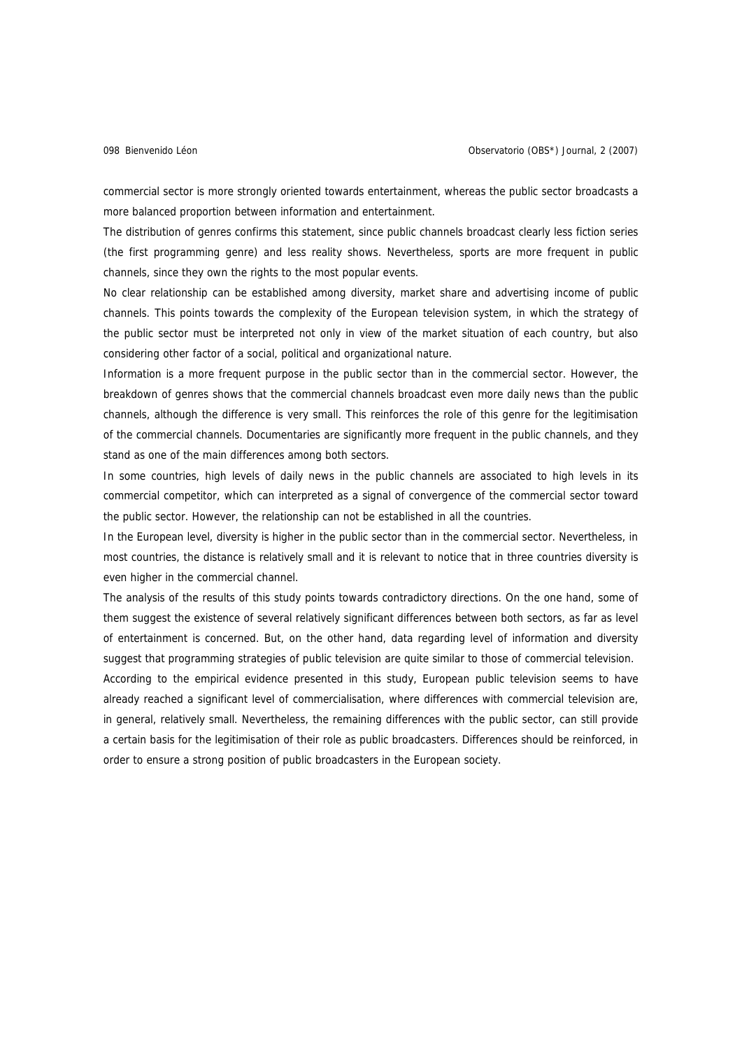commercial sector is more strongly oriented towards entertainment, whereas the public sector broadcasts a more balanced proportion between information and entertainment.

The distribution of genres confirms this statement, since public channels broadcast clearly less fiction series (the first programming genre) and less reality shows. Nevertheless, sports are more frequent in public channels, since they own the rights to the most popular events.

No clear relationship can be established among diversity, market share and advertising income of public channels. This points towards the complexity of the European television system, in which the strategy of the public sector must be interpreted not only in view of the market situation of each country, but also considering other factor of a social, political and organizational nature.

Information is a more frequent purpose in the public sector than in the commercial sector. However, the breakdown of genres shows that the commercial channels broadcast even more daily news than the public channels, although the difference is very small. This reinforces the role of this genre for the legitimisation of the commercial channels. Documentaries are significantly more frequent in the public channels, and they stand as one of the main differences among both sectors.

In some countries, high levels of daily news in the public channels are associated to high levels in its commercial competitor, which can interpreted as a signal of convergence of the commercial sector toward the public sector. However, the relationship can not be established in all the countries.

In the European level, diversity is higher in the public sector than in the commercial sector. Nevertheless, in most countries, the distance is relatively small and it is relevant to notice that in three countries diversity is even higher in the commercial channel.

The analysis of the results of this study points towards contradictory directions. On the one hand, some of them suggest the existence of several relatively significant differences between both sectors, as far as level of entertainment is concerned. But, on the other hand, data regarding level of information and diversity suggest that programming strategies of public television are quite similar to those of commercial television.

According to the empirical evidence presented in this study, European public television seems to have already reached a significant level of commercialisation, where differences with commercial television are, in general, relatively small. Nevertheless, the remaining differences with the public sector, can still provide a certain basis for the legitimisation of their role as public broadcasters. Differences should be reinforced, in order to ensure a strong position of public broadcasters in the European society.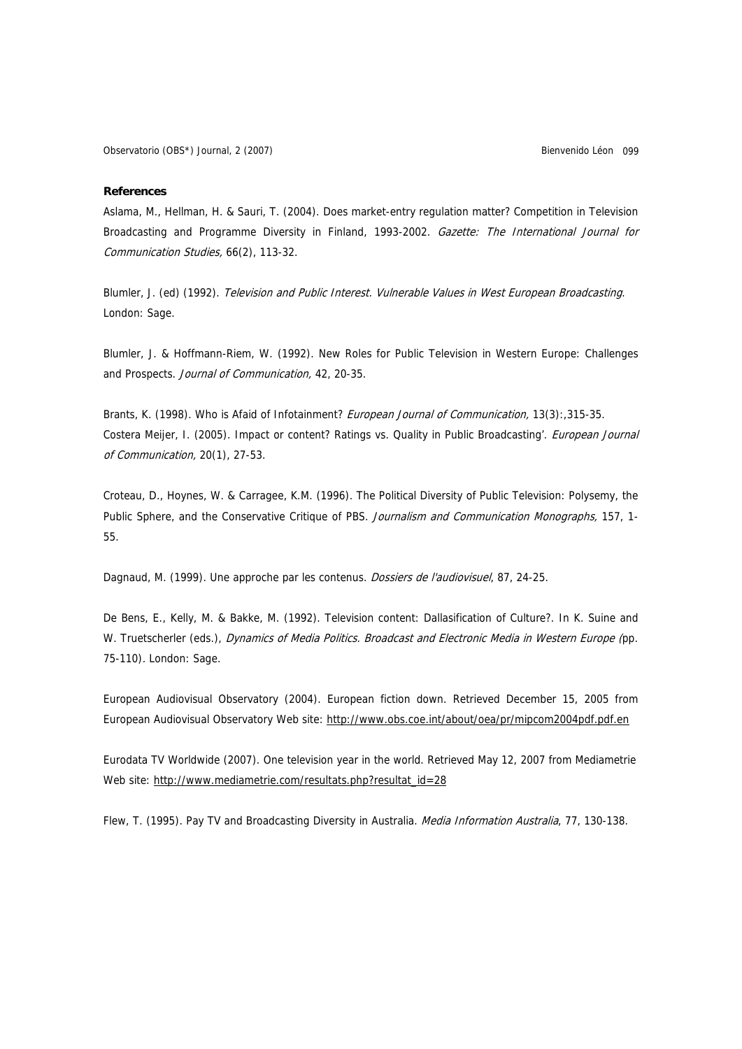### **References**

Aslama, M., Hellman, H. & Sauri, T. (2004). Does market-entry regulation matter? Competition in Television Broadcasting and Programme Diversity in Finland, 1993-2002. Gazette: The International Journal for Communication Studies, 66(2), 113-32.

Blumler, J. (ed) (1992). Television and Public Interest. Vulnerable Values in West European Broadcasting. London: Sage.

Blumler, J. & Hoffmann-Riem, W. (1992). New Roles for Public Television in Western Europe: Challenges and Prospects. Journal of Communication, 42, 20-35.

Brants, K. (1998). Who is Afaid of Infotainment? European Journal of Communication, 13(3): 315-35. Costera Meijer, I. (2005). Impact or content? Ratings vs. Quality in Public Broadcasting'. *European Journal* of Communication, 20(1), 27-53.

Croteau, D., Hoynes, W. & Carragee, K.M. (1996). The Political Diversity of Public Television: Polysemy, the Public Sphere, and the Conservative Critique of PBS. Journalism and Communication Monographs, 157, 1-55.

Dagnaud, M. (1999). Une approche par les contenus. Dossiers de l'audiovisuel, 87, 24-25.

De Bens, E., Kelly, M. & Bakke, M. (1992). Television content: Dallasification of Culture?. In K. Suine and W. Truetscherler (eds.), Dynamics of Media Politics. Broadcast and Electronic Media in Western Europe (pp. 75-110). London: Sage.

European Audiovisual Observatory (2004). European fiction down. Retrieved December 15, 2005 from European Audiovisual Observatory Web site:<http://www.obs.coe.int/about/oea/pr/mipcom2004pdf.pdf.en>

Eurodata TV Worldwide (2007). One television year in the world. Retrieved May 12, 2007 from Mediametrie Web site: [http://www.mediametrie.com/resultats.php?resultat\\_id=28](http://www.mediametrie.com/resultats.php?resultat_id=28)

Flew, T. (1995). Pay TV and Broadcasting Diversity in Australia. *Media Information Australia*, 77, 130-138.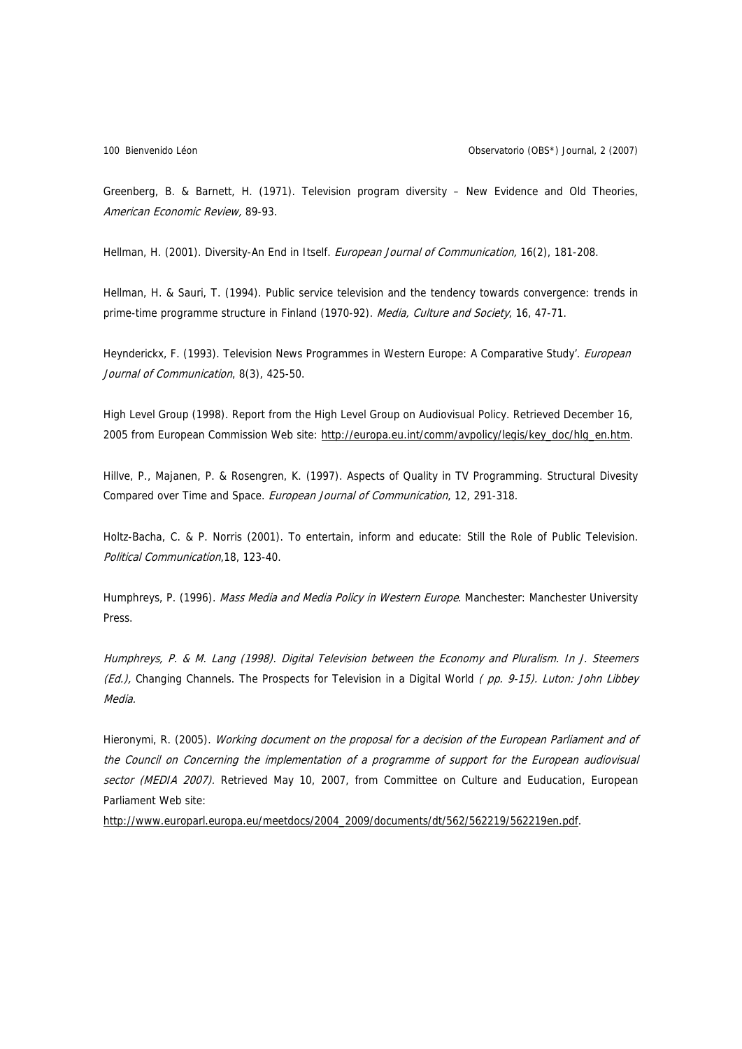Greenberg, B. & Barnett, H. (1971). Television program diversity – New Evidence and Old Theories, American Economic Review, 89-93.

Hellman, H. (2001). Diversity-An End in Itself. European Journal of Communication, 16(2), 181-208.

Hellman, H. & Sauri, T. (1994). Public service television and the tendency towards convergence: trends in prime-time programme structure in Finland (1970-92). Media, Culture and Society, 16, 47-71.

Heynderickx, F. (1993). Television News Programmes in Western Europe: A Comparative Study'. European Journal of Communication, 8(3), 425-50.

High Level Group (1998). Report from the High Level Group on Audiovisual Policy. Retrieved December 16, 2005 from European Commission Web site: [http://europa.eu.int/comm/avpolicy/legis/key\\_doc/hlg\\_en.htm.](http://europa.eu.int/comm/avpolicy/legis/key_doc/hlg_en.htm)

Hillve, P., Majanen, P. & Rosengren, K. (1997). Aspects of Quality in TV Programming. Structural Divesity Compared over Time and Space. European Journal of Communication, 12, 291-318.

Holtz-Bacha, C. & P. Norris (2001). To entertain, inform and educate: Still the Role of Public Television. Political Communication,18, 123-40.

Humphreys, P. (1996). Mass Media and Media Policy in Western Europe. Manchester: Manchester University Press.

Humphreys, P. & M. Lang (1998). Digital Television between the Economy and Pluralism. In J. Steemers (Ed.), Changing Channels. The Prospects for Television in a Digital World (pp. 9-15). Luton: John Libbey Media.

Hieronymi, R. (2005). Working document on the proposal for a decision of the European Parliament and of the Council on Concerning the implementation of a programme of support for the European audiovisual sector (MEDIA 2007). Retrieved May 10, 2007, from Committee on Culture and Euducation, European Parliament Web site:

[http://www.europarl.europa.eu/meetdocs/2004\\_2009/documents/dt/562/562219/562219en.pdf](http://www.europarl.europa.eu/meetdocs/2004_2009/documents/dt/562/562219/562219en.pdf).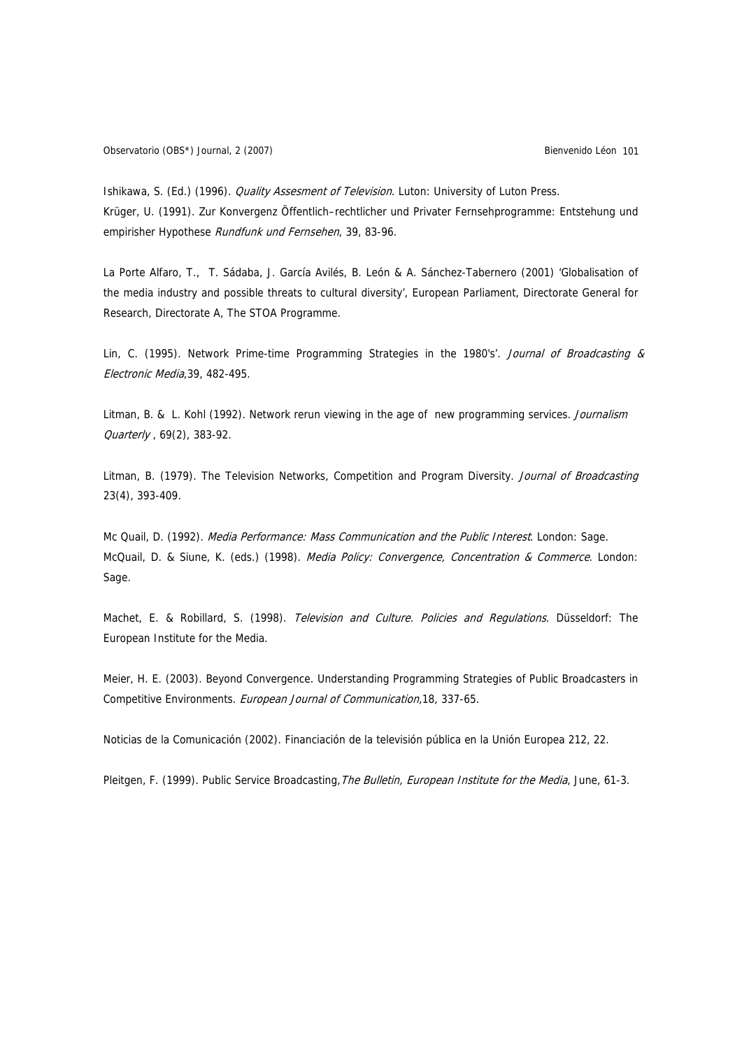Ishikawa, S. (Ed.) (1996). *Quality Assesment of Television*. Luton: University of Luton Press. Krüger, U. (1991). Zur Konvergenz Öffentlich–rechtlicher und Privater Fernsehprogramme: Entstehung und empirisher Hypothese Rundfunk und Fernsehen, 39, 83-96.

La Porte Alfaro, T., T. Sádaba, J. García Avilés, B. León & A. Sánchez-Tabernero (2001) 'Globalisation of the media industry and possible threats to cultural diversity', European Parliament, Directorate General for Research, Directorate A, The STOA Programme.

Lin, C. (1995). Network Prime-time Programming Strategies in the 1980's'. Journal of Broadcasting & Electronic Media,39, 482-495.

Litman, B. & L. Kohl (1992). Network rerun viewing in the age of new programming services. Journalism Quarterly , 69(2), 383-92.

Litman, B. (1979). The Television Networks, Competition and Program Diversity. Journal of Broadcasting 23(4), 393-409.

Mc Quail, D. (1992). Media Performance: Mass Communication and the Public Interest. London: Sage. McQuail, D. & Siune, K. (eds.) (1998). Media Policy: Convergence, Concentration & Commerce. London: Sage.

Machet, E. & Robillard, S. (1998). Television and Culture. Policies and Regulations. Düsseldorf: The European Institute for the Media.

Meier, H. E. (2003). Beyond Convergence. Understanding Programming Strategies of Public Broadcasters in Competitive Environments. European Journal of Communication,18, 337-65.

Noticias de la Comunicación (2002). Financiación de la televisión pública en la Unión Europea 212, 22.

Pleitgen, F. (1999). Public Service Broadcasting, The Bulletin, European Institute for the Media, June, 61-3.